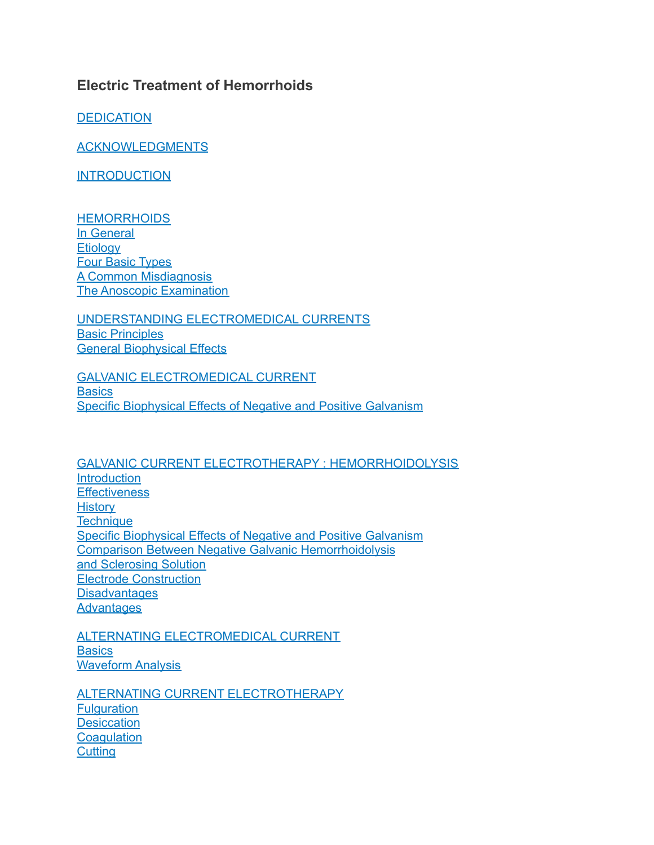# **Electric Treatment of Hemorrhoids**

**[DEDICATION](https://hemorrhoid.net/electric/#dedication)** 

**[ACKNOWLEDGMENTS](https://hemorrhoid.net/electric/#acknowledgments)** 

**[INTRODUCTION](https://hemorrhoid.net/electric/#intro)** 

**[HEMORRHOIDS](https://hemorrhoid.net/electric/#hems)** In [General](https://hemorrhoid.net/electric/#ingen) **[Etiology](https://hemorrhoid.net/electric/#etiology)** Four Basic [Types](https://hemorrhoid.net/electric/#fourtypes) A Common [Misdiagnosis](https://hemorrhoid.net/electric/#misdiagnosis) The Anoscopic [Examination](https://hemorrhoid.net/electric/#examination)

UNDERSTANDING [ELECTROMEDICAL](https://hemorrhoid.net/electric/#understanding) CURRENTS Basic [Principles](https://hemorrhoid.net/electric/#principles) General [Biophysical](https://hemorrhoid.net/electric/#bioeffects) Effects

GALVANIC [ELECTROMEDICAL](https://hemorrhoid.net/electric/#galvancurrent) CURRENT **[Basics](https://hemorrhoid.net/electric/#galvanbasics)** Specific [Biophysical](https://hemorrhoid.net/electric/#electromedical) Effects of Negative and Positive Galvanism

GALVANIC CURRENT ELECTROTHERAPY : [HEMORRHOIDOLYSIS](https://hemorrhoid.net/electric/#galvanic) **[Introduction](https://hemorrhoid.net/electric/#hemintro) [Effectiveness](https://hemorrhoid.net/electric/#hemeffects) [History](https://hemorrhoid.net/electric/#hemhistory) [Technique](https://hemorrhoid.net/electric/#hentech)** Specific [Biophysical](https://hemorrhoid.net/electric/#specificeffects) Effects of Negative and Positive Galvanism Comparison Between Negative Galvanic [Hemorrhoidolysis](https://hemorrhoid.net/electric/#comparison) and [Sclerosing](https://hemorrhoid.net/electric/#comparison) Solution Electrode [Construction](https://hemorrhoid.net/electric/#construction) **[Disadvantages](https://hemorrhoid.net/electric/#disadv) [Advantages](https://hemorrhoid.net/electric.php#adv)** 

ALTERNATING [ELECTROMEDICAL](https://hemorrhoid.net/electric/#altcurrent) CURRENT **[Basics](https://hemorrhoid.net/electric/#altbasic)** [Waveform](https://hemorrhoid.net/electric/#altanalysis) Analysis

ALTERNATING CURRENT [ELECTROTHERAPY](https://hemorrhoid.net/electric/#altelectric) **[Fulguration](https://hemorrhoid.net/electric/#altfulguration) [Desiccation](https://hemorrhoid.net/electric/#desiccation) [Coagulation](https://hemorrhoid.net/electric/#altcogulation) [Cutting](https://hemorrhoid.net/electric/#altcutting)**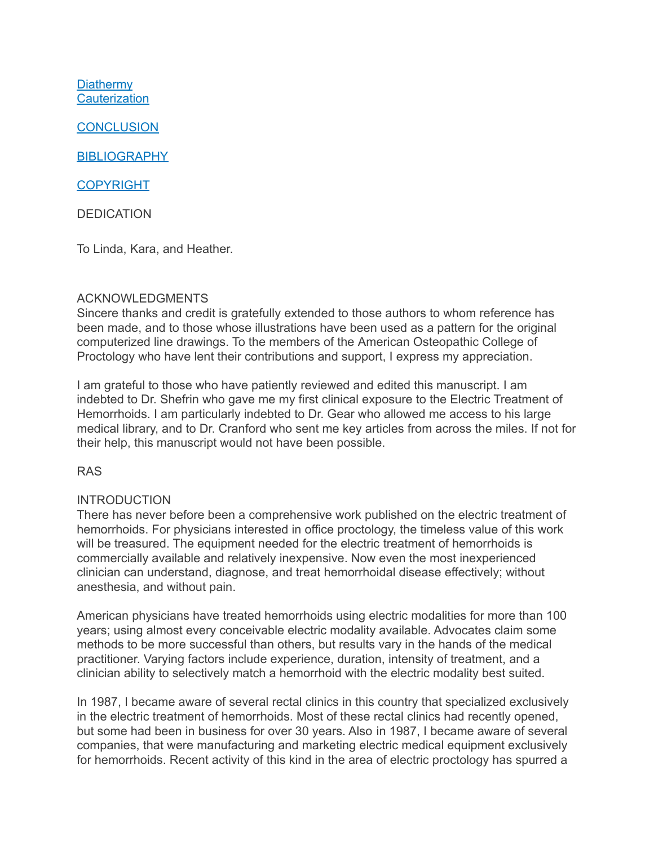**[Diathermy](https://hemorrhoid.net/electric/#altdiathermy) [Cauterization](https://hemorrhoid.net/electric/#altcauterization)** 

**[CONCLUSION](https://hemorrhoid.net/electric/#conclusion)** 

**[BIBLIOGRAPHY](https://hemorrhoid.net/electric/#bib)** 

[COPYRIGHT](https://hemorrhoid.net/electric/#copyright)

DEDICATION

To Linda, Kara, and Heather.

# ACKNOWLEDGMENTS

Sincere thanks and credit is gratefully extended to those authors to whom reference has been made, and to those whose illustrations have been used as a pattern for the original computerized line drawings. To the members of the American Osteopathic College of Proctology who have lent their contributions and support, I express my appreciation.

I am grateful to those who have patiently reviewed and edited this manuscript. I am indebted to Dr. Shefrin who gave me my first clinical exposure to the Electric Treatment of Hemorrhoids. I am particularly indebted to Dr. Gear who allowed me access to his large medical library, and to Dr. Cranford who sent me key articles from across the miles. If not for their help, this manuscript would not have been possible.

RAS

#### INTRODUCTION

There has never before been a comprehensive work published on the electric treatment of hemorrhoids. For physicians interested in office proctology, the timeless value of this work will be treasured. The equipment needed for the electric treatment of hemorrhoids is commercially available and relatively inexpensive. Now even the most inexperienced clinician can understand, diagnose, and treat hemorrhoidal disease effectively; without anesthesia, and without pain.

American physicians have treated hemorrhoids using electric modalities for more than 100 years; using almost every conceivable electric modality available. Advocates claim some methods to be more successful than others, but results vary in the hands of the medical practitioner. Varying factors include experience, duration, intensity of treatment, and a clinician ability to selectively match a hemorrhoid with the electric modality best suited.

In 1987, I became aware of several rectal clinics in this country that specialized exclusively in the electric treatment of hemorrhoids. Most of these rectal clinics had recently opened, but some had been in business for over 30 years. Also in 1987, I became aware of several companies, that were manufacturing and marketing electric medical equipment exclusively for hemorrhoids. Recent activity of this kind in the area of electric proctology has spurred a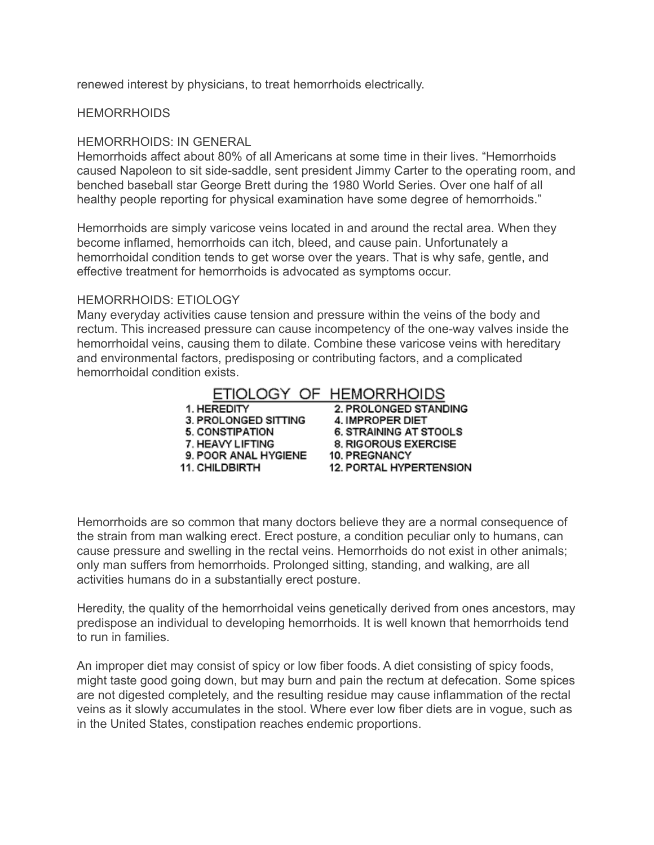renewed interest by physicians, to treat hemorrhoids electrically.

#### **HEMORRHOIDS**

#### HEMORRHOIDS: IN GENERAL

Hemorrhoids affect about 80% of all Americans at some time in their lives. "Hemorrhoids caused Napoleon to sit side-saddle, sent president Jimmy Carter to the operating room, and benched baseball star George Brett during the 1980 World Series. Over one half of all healthy people reporting for physical examination have some degree of hemorrhoids."

Hemorrhoids are simply varicose veins located in and around the rectal area. When they become inflamed, hemorrhoids can itch, bleed, and cause pain. Unfortunately a hemorrhoidal condition tends to get worse over the years. That is why safe, gentle, and effective treatment for hemorrhoids is advocated as symptoms occur.

#### HEMORRHOIDS: ETIOLOGY

Many everyday activities cause tension and pressure within the veins of the body and rectum. This increased pressure can cause incompetency of the one-way valves inside the hemorrhoidal veins, causing them to dilate. Combine these varicose veins with hereditary and environmental factors, predisposing or contributing factors, and a complicated hemorrhoidal condition exists.

# ETIOLOGY OF HEMORRHOIDS

1. HEREDITY 3. PROLONGED SITTING 3. PROLONGED SITTING<br>5. CONSTIPATION<br>7. HEAVY LIETING 7. HEAVY LIFTING

11. CHILDBIRTH

2. PROLONGED STANDING 4. IMPROPER DIET **6. STRAINING AT STOOLS** 8. RIGOROUS EXERCISE 9. POOR ANAL HYGIENE 10. PREGNANCY 12. PORTAL HYPERTENSION

Hemorrhoids are so common that many doctors believe they are a normal consequence of the strain from man walking erect. Erect posture, a condition peculiar only to humans, can cause pressure and swelling in the rectal veins. Hemorrhoids do not exist in other animals; only man suffers from hemorrhoids. Prolonged sitting, standing, and walking, are all activities humans do in a substantially erect posture.

Heredity, the quality of the hemorrhoidal veins genetically derived from ones ancestors, may predispose an individual to developing hemorrhoids. It is well known that hemorrhoids tend to run in families.

An improper diet may consist of spicy or low fiber foods. A diet consisting of spicy foods, might taste good going down, but may burn and pain the rectum at defecation. Some spices are not digested completely, and the resulting residue may cause inflammation of the rectal veins as it slowly accumulates in the stool. Where ever low fiber diets are in vogue, such as in the United States, constipation reaches endemic proportions.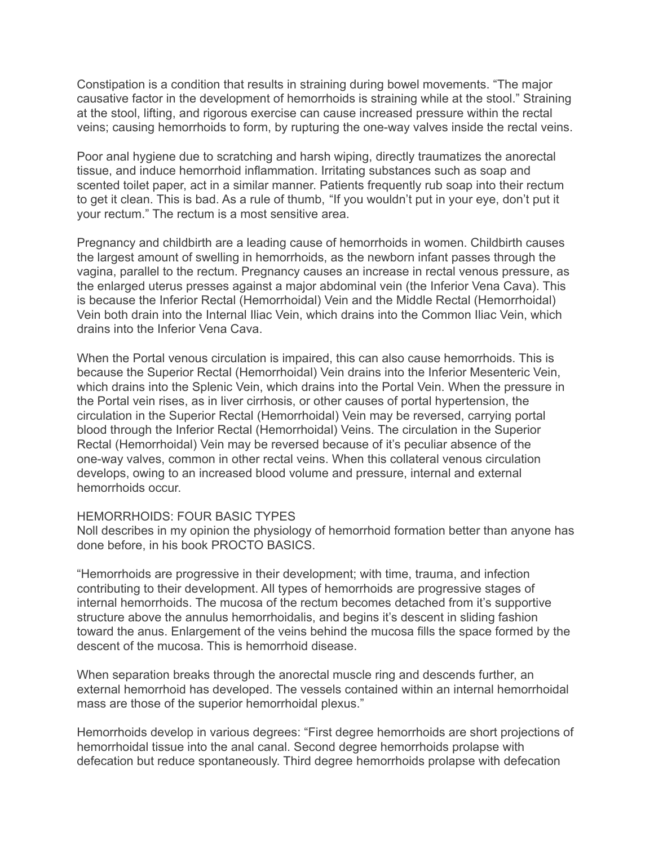Constipation is a condition that results in straining during bowel movements. "The major causative factor in the development of hemorrhoids is straining while at the stool." Straining at the stool, lifting, and rigorous exercise can cause increased pressure within the rectal veins; causing hemorrhoids to form, by rupturing the one-way valves inside the rectal veins.

Poor anal hygiene due to scratching and harsh wiping, directly traumatizes the anorectal tissue, and induce hemorrhoid inflammation. Irritating substances such as soap and scented toilet paper, act in a similar manner. Patients frequently rub soap into their rectum to get it clean. This is bad. As a rule of thumb, "If you wouldn't put in your eye, don't put it your rectum." The rectum is a most sensitive area.

Pregnancy and childbirth are a leading cause of hemorrhoids in women. Childbirth causes the largest amount of swelling in hemorrhoids, as the newborn infant passes through the vagina, parallel to the rectum. Pregnancy causes an increase in rectal venous pressure, as the enlarged uterus presses against a major abdominal vein (the Inferior Vena Cava). This is because the Inferior Rectal (Hemorrhoidal) Vein and the Middle Rectal (Hemorrhoidal) Vein both drain into the Internal Iliac Vein, which drains into the Common Iliac Vein, which drains into the Inferior Vena Cava.

When the Portal venous circulation is impaired, this can also cause hemorrhoids. This is because the Superior Rectal (Hemorrhoidal) Vein drains into the Inferior Mesenteric Vein, which drains into the Splenic Vein, which drains into the Portal Vein. When the pressure in the Portal vein rises, as in liver cirrhosis, or other causes of portal hypertension, the circulation in the Superior Rectal (Hemorrhoidal) Vein may be reversed, carrying portal blood through the Inferior Rectal (Hemorrhoidal) Veins. The circulation in the Superior Rectal (Hemorrhoidal) Vein may be reversed because of it's peculiar absence of the one-way valves, common in other rectal veins. When this collateral venous circulation develops, owing to an increased blood volume and pressure, internal and external hemorrhoids occur.

#### HEMORRHOIDS: FOUR BASIC TYPES

Noll describes in my opinion the physiology of hemorrhoid formation better than anyone has done before, in his book PROCTO BASICS.

"Hemorrhoids are progressive in their development; with time, trauma, and infection contributing to their development. All types of hemorrhoids are progressive stages of internal hemorrhoids. The mucosa of the rectum becomes detached from it's supportive structure above the annulus hemorrhoidalis, and begins it's descent in sliding fashion toward the anus. Enlargement of the veins behind the mucosa fills the space formed by the descent of the mucosa. This is hemorrhoid disease.

When separation breaks through the anorectal muscle ring and descends further, an external hemorrhoid has developed. The vessels contained within an internal hemorrhoidal mass are those of the superior hemorrhoidal plexus."

Hemorrhoids develop in various degrees: "First degree hemorrhoids are short projections of hemorrhoidal tissue into the anal canal. Second degree hemorrhoids prolapse with defecation but reduce spontaneously. Third degree hemorrhoids prolapse with defecation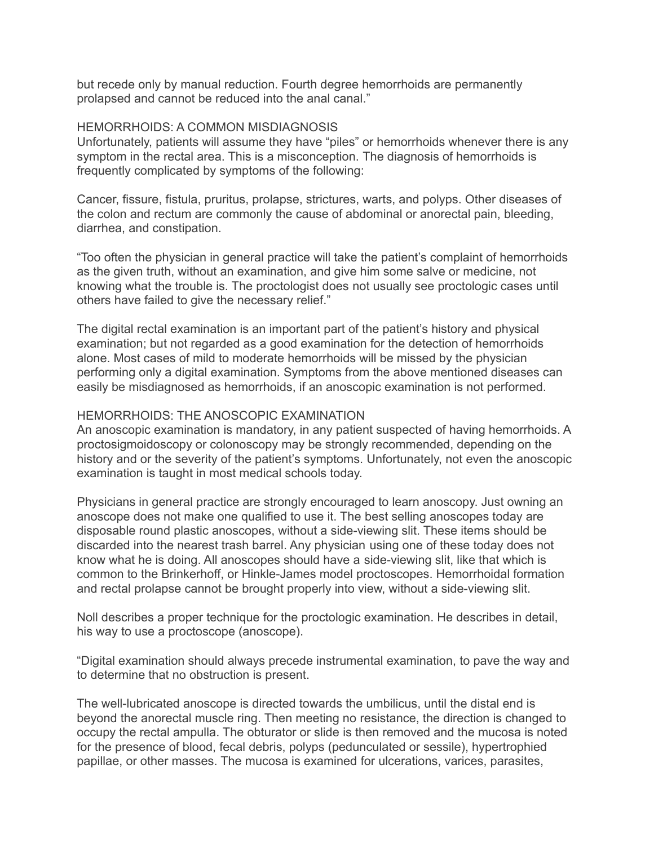but recede only by manual reduction. Fourth degree hemorrhoids are permanently prolapsed and cannot be reduced into the anal canal."

#### HEMORRHOIDS: A COMMON MISDIAGNOSIS

Unfortunately, patients will assume they have "piles" or hemorrhoids whenever there is any symptom in the rectal area. This is a misconception. The diagnosis of hemorrhoids is frequently complicated by symptoms of the following:

Cancer, fissure, fistula, pruritus, prolapse, strictures, warts, and polyps. Other diseases of the colon and rectum are commonly the cause of abdominal or anorectal pain, bleeding, diarrhea, and constipation.

"Too often the physician in general practice will take the patient's complaint of hemorrhoids as the given truth, without an examination, and give him some salve or medicine, not knowing what the trouble is. The proctologist does not usually see proctologic cases until others have failed to give the necessary relief."

The digital rectal examination is an important part of the patient's history and physical examination; but not regarded as a good examination for the detection of hemorrhoids alone. Most cases of mild to moderate hemorrhoids will be missed by the physician performing only a digital examination. Symptoms from the above mentioned diseases can easily be misdiagnosed as hemorrhoids, if an anoscopic examination is not performed.

#### HEMORRHOIDS: THE ANOSCOPIC EXAMINATION

An anoscopic examination is mandatory, in any patient suspected of having hemorrhoids. A proctosigmoidoscopy or colonoscopy may be strongly recommended, depending on the history and or the severity of the patient's symptoms. Unfortunately, not even the anoscopic examination is taught in most medical schools today.

Physicians in general practice are strongly encouraged to learn anoscopy. Just owning an anoscope does not make one qualified to use it. The best selling anoscopes today are disposable round plastic anoscopes, without a side-viewing slit. These items should be discarded into the nearest trash barrel. Any physician using one of these today does not know what he is doing. All anoscopes should have a side-viewing slit, like that which is common to the Brinkerhoff, or Hinkle-James model proctoscopes. Hemorrhoidal formation and rectal prolapse cannot be brought properly into view, without a side-viewing slit.

Noll describes a proper technique for the proctologic examination. He describes in detail, his way to use a proctoscope (anoscope).

"Digital examination should always precede instrumental examination, to pave the way and to determine that no obstruction is present.

The well-lubricated anoscope is directed towards the umbilicus, until the distal end is beyond the anorectal muscle ring. Then meeting no resistance, the direction is changed to occupy the rectal ampulla. The obturator or slide is then removed and the mucosa is noted for the presence of blood, fecal debris, polyps (pedunculated or sessile), hypertrophied papillae, or other masses. The mucosa is examined for ulcerations, varices, parasites,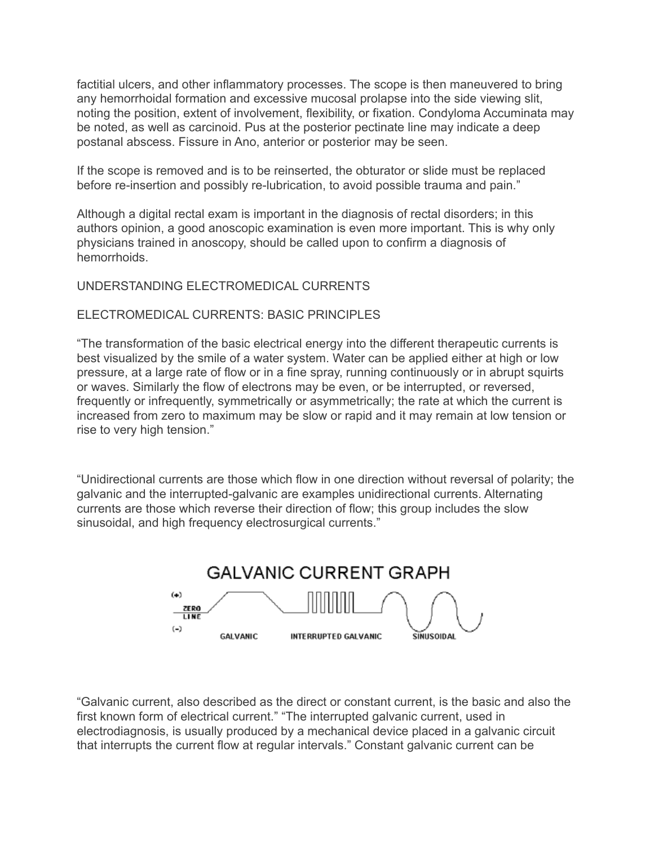factitial ulcers, and other inflammatory processes. The scope is then maneuvered to bring any hemorrhoidal formation and excessive mucosal prolapse into the side viewing slit, noting the position, extent of involvement, flexibility, or fixation. Condyloma Accuminata may be noted, as well as carcinoid. Pus at the posterior pectinate line may indicate a deep postanal abscess. Fissure in Ano, anterior or posterior may be seen.

If the scope is removed and is to be reinserted, the obturator or slide must be replaced before re-insertion and possibly re-lubrication, to avoid possible trauma and pain."

Although a digital rectal exam is important in the diagnosis of rectal disorders; in this authors opinion, a good anoscopic examination is even more important. This is why only physicians trained in anoscopy, should be called upon to confirm a diagnosis of hemorrhoids.

# UNDERSTANDING ELECTROMEDICAL CURRENTS

# ELECTROMEDICAL CURRENTS: BASIC PRINCIPLES

"The transformation of the basic electrical energy into the different therapeutic currents is best visualized by the smile of a water system. Water can be applied either at high or low pressure, at a large rate of flow or in a fine spray, running continuously or in abrupt squirts or waves. Similarly the flow of electrons may be even, or be interrupted, or reversed, frequently or infrequently, symmetrically or asymmetrically; the rate at which the current is increased from zero to maximum may be slow or rapid and it may remain at low tension or rise to very high tension."

"Unidirectional currents are those which flow in one direction without reversal of polarity; the galvanic and the interrupted-galvanic are examples unidirectional currents. Alternating currents are those which reverse their direction of flow; this group includes the slow sinusoidal, and high frequency electrosurgical currents."



"Galvanic current, also described as the direct or constant current, is the basic and also the first known form of electrical current." "The interrupted galvanic current, used in electrodiagnosis, is usually produced by a mechanical device placed in a galvanic circuit that interrupts the current flow at regular intervals." Constant galvanic current can be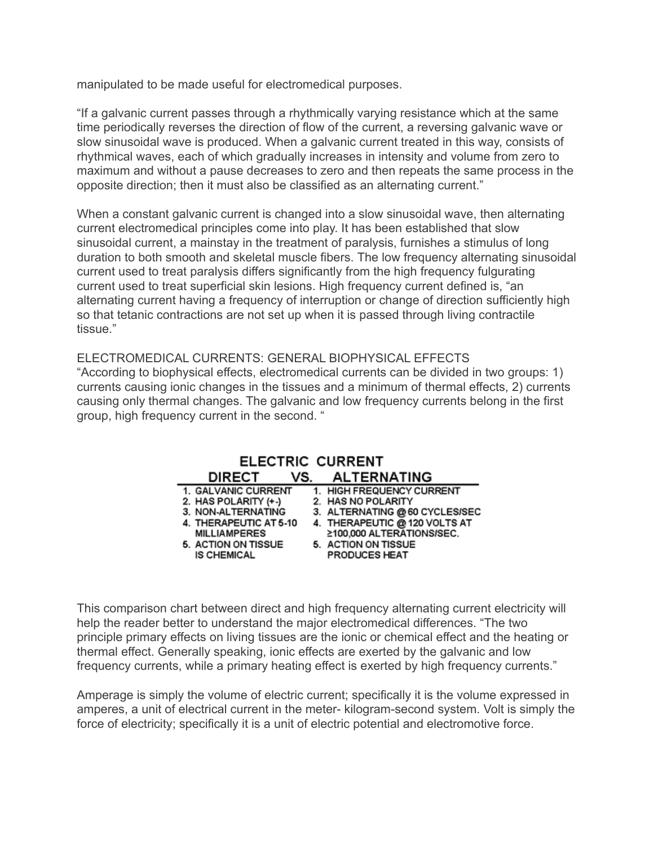manipulated to be made useful for electromedical purposes.

"If a galvanic current passes through a rhythmically varying resistance which at the same time periodically reverses the direction of flow of the current, a reversing galvanic wave or slow sinusoidal wave is produced. When a galvanic current treated in this way, consists of rhythmical waves, each of which gradually increases in intensity and volume from zero to maximum and without a pause decreases to zero and then repeats the same process in the opposite direction; then it must also be classified as an alternating current."

When a constant galvanic current is changed into a slow sinusoidal wave, then alternating current electromedical principles come into play. It has been established that slow sinusoidal current, a mainstay in the treatment of paralysis, furnishes a stimulus of long duration to both smooth and skeletal muscle fibers. The low frequency alternating sinusoidal current used to treat paralysis differs significantly from the high frequency fulgurating current used to treat superficial skin lesions. High frequency current defined is, "an alternating current having a frequency of interruption or change of direction sufficiently high so that tetanic contractions are not set up when it is passed through living contractile tissue."

ELECTROMEDICAL CURRENTS: GENERAL BIOPHYSICAL EFFECTS "According to biophysical effects, electromedical currents can be divided in two groups: 1) currents causing ionic changes in the tissues and a minimum of thermal effects, 2) currents causing only thermal changes. The galvanic and low frequency currents belong in the first group, high frequency current in the second. "

| <b>ELECTRIC CURRENT</b> |     |                                |  |  |  |
|-------------------------|-----|--------------------------------|--|--|--|
| <b>DIRECT</b>           | VS. | <b>ALTERNATING</b>             |  |  |  |
| 1. GALVANIC CURRENT     |     | 1. HIGH FREQUENCY CURRENT      |  |  |  |
| 2. HAS POLARITY (+-)    |     | 2. HAS NO POLARITY             |  |  |  |
| 3. NON-ALTERNATING      |     | 3. ALTERNATING @ 60 CYCLES/SEC |  |  |  |
| 4. THERAPEUTIC AT 5-10  |     | 4. THERAPEUTIC @ 120 VOLTS AT  |  |  |  |
| <b>MILLIAMPERES</b>     |     | ≥100,000 ALTERATIONS/SEC.      |  |  |  |
| 5. ACTION ON TISSUE     |     | 5. ACTION ON TISSUE            |  |  |  |
| <b>IS CHEMICAL</b>      |     | <b>PRODUCES HEAT</b>           |  |  |  |

This comparison chart between direct and high frequency alternating current electricity will help the reader better to understand the major electromedical differences. "The two principle primary effects on living tissues are the ionic or chemical effect and the heating or thermal effect. Generally speaking, ionic effects are exerted by the galvanic and low frequency currents, while a primary heating effect is exerted by high frequency currents."

Amperage is simply the volume of electric current; specifically it is the volume expressed in amperes, a unit of electrical current in the meter- kilogram-second system. Volt is simply the force of electricity; specifically it is a unit of electric potential and electromotive force.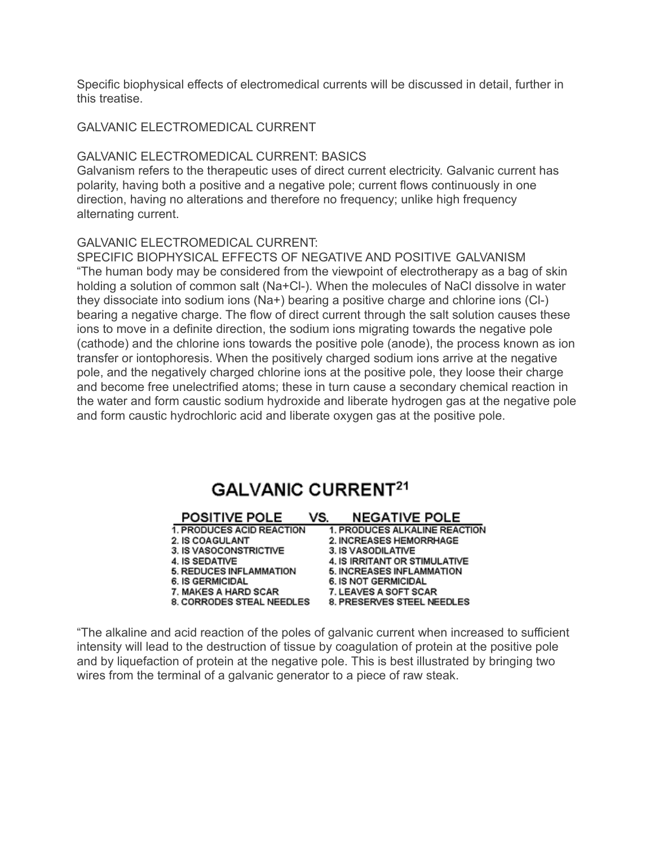Specific biophysical effects of electromedical currents will be discussed in detail, further in this treatise.

#### GALVANIC ELECTROMEDICAL CURRENT

#### GALVANIC ELECTROMEDICAL CURRENT: BASICS

Galvanism refers to the therapeutic uses of direct current electricity. Galvanic current has polarity, having both a positive and a negative pole; current flows continuously in one direction, having no alterations and therefore no frequency; unlike high frequency alternating current.

#### GALVANIC ELECTROMEDICAL CURRENT:

SPECIFIC BIOPHYSICAL EFFECTS OF NEGATIVE AND POSITIVE GALVANISM "The human body may be considered from the viewpoint of electrotherapy as a bag of skin holding a solution of common salt (Na+Cl-). When the molecules of NaCl dissolve in water they dissociate into sodium ions (Na+) bearing a positive charge and chlorine ions (Cl-) bearing a negative charge. The flow of direct current through the salt solution causes these ions to move in a definite direction, the sodium ions migrating towards the negative pole (cathode) and the chlorine ions towards the positive pole (anode), the process known as ion transfer or iontophoresis. When the positively charged sodium ions arrive at the negative pole, and the negatively charged chlorine ions at the positive pole, they loose their charge and become free unelectrified atoms; these in turn cause a secondary chemical reaction in the water and form caustic sodium hydroxide and liberate hydrogen gas at the negative pole and form caustic hydrochloric acid and liberate oxygen gas at the positive pole.

# **GALVANIC CURRENT<sup>21</sup>**

| <b>POSITIVE POLE</b>           | VS. | <b>NEGATIVE POLE</b>             |
|--------------------------------|-----|----------------------------------|
| 1. PRODUCES ACID REACTION      |     | 1. PRODUCES ALKALINE REACTION    |
| 2. IS COAGULANT                |     | 2. INCREASES HEMORRHAGE          |
| 3. IS VASOCONSTRICTIVE         |     | 3. IS VASODILATIVE               |
| 4. IS SEDATIVE                 |     | 4. IS IRRITANT OR STIMULATIVE    |
| <b>5. REDUCES INFLAMMATION</b> |     | <b>5. INCREASES INFLAMMATION</b> |
| <b>6. IS GERMICIDAL</b>        |     | 6. IS NOT GERMICIDAL             |
| <b>7. MAKES A HARD SCAR</b>    |     | 7. LEAVES A SOFT SCAR            |
| 8. CORRODES STEAL NEEDLES      |     | 8. PRESERVES STEEL NEEDLES       |

"The alkaline and acid reaction of the poles of galvanic current when increased to sufficient intensity will lead to the destruction of tissue by coagulation of protein at the positive pole and by liquefaction of protein at the negative pole. This is best illustrated by bringing two wires from the terminal of a galvanic generator to a piece of raw steak.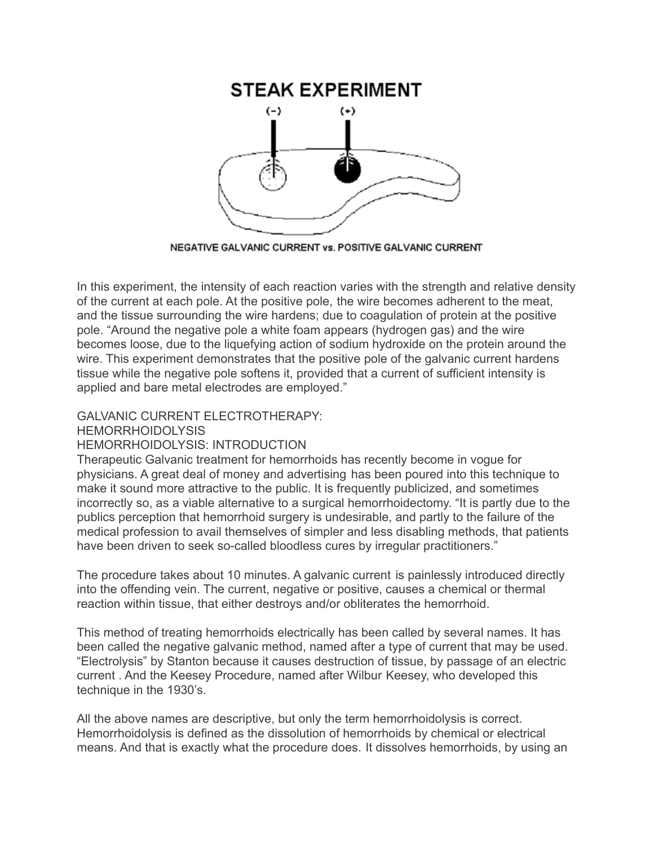

NEGATIVE GALVANIC CURRENT vs. POSITIVE GALVANIC CURRENT

In this experiment, the intensity of each reaction varies with the strength and relative density of the current at each pole. At the positive pole, the wire becomes adherent to the meat, and the tissue surrounding the wire hardens; due to coagulation of protein at the positive pole. "Around the negative pole a white foam appears (hydrogen gas) and the wire becomes loose, due to the liquefying action of sodium hydroxide on the protein around the wire. This experiment demonstrates that the positive pole of the galvanic current hardens tissue while the negative pole softens it, provided that a current of sufficient intensity is applied and bare metal electrodes are employed."

# GALVANIC CURRENT ELECTROTHERAPY:

HEMORRHOIDOLYSIS

#### HEMORRHOIDOLYSIS: INTRODUCTION

Therapeutic Galvanic treatment for hemorrhoids has recently become in vogue for physicians. A great deal of money and advertising has been poured into this technique to make it sound more attractive to the public. It is frequently publicized, and sometimes incorrectly so, as a viable alternative to a surgical hemorrhoidectomy. "It is partly due to the publics perception that hemorrhoid surgery is undesirable, and partly to the failure of the medical profession to avail themselves of simpler and less disabling methods, that patients have been driven to seek so-called bloodless cures by irregular practitioners."

The procedure takes about 10 minutes. A galvanic current is painlessly introduced directly into the offending vein. The current, negative or positive, causes a chemical or thermal reaction within tissue, that either destroys and/or obliterates the hemorrhoid.

This method of treating hemorrhoids electrically has been called by several names. It has been called the negative galvanic method, named after a type of current that may be used. "Electrolysis" by Stanton because it causes destruction of tissue, by passage of an electric current . And the Keesey Procedure, named after Wilbur Keesey, who developed this technique in the 1930's.

All the above names are descriptive, but only the term hemorrhoidolysis is correct. Hemorrhoidolysis is defined as the dissolution of hemorrhoids by chemical or electrical means. And that is exactly what the procedure does. It dissolves hemorrhoids, by using an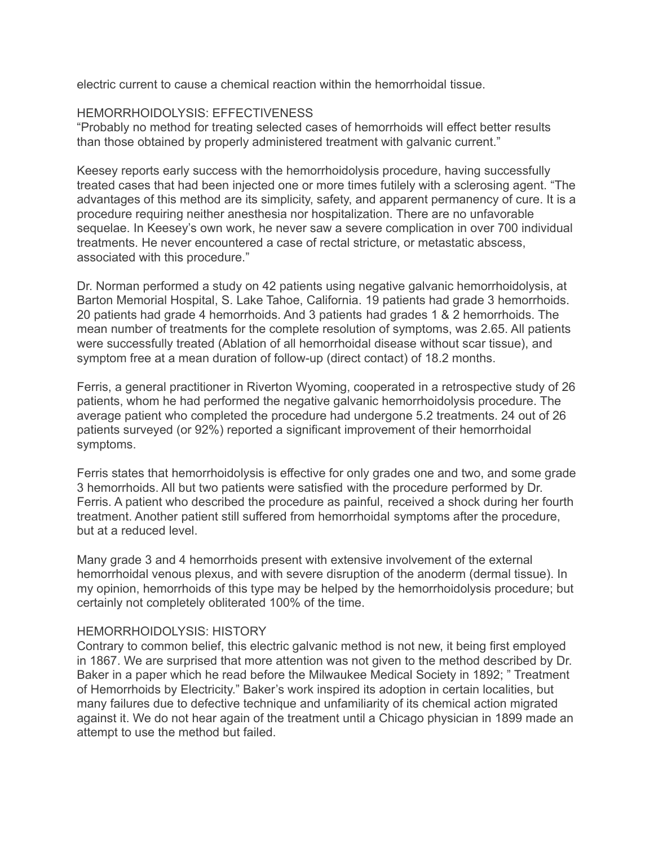electric current to cause a chemical reaction within the hemorrhoidal tissue.

#### HEMORRHOIDOLYSIS: EFFECTIVENESS

"Probably no method for treating selected cases of hemorrhoids will effect better results than those obtained by properly administered treatment with galvanic current."

Keesey reports early success with the hemorrhoidolysis procedure, having successfully treated cases that had been injected one or more times futilely with a sclerosing agent. "The advantages of this method are its simplicity, safety, and apparent permanency of cure. It is a procedure requiring neither anesthesia nor hospitalization. There are no unfavorable sequelae. In Keesey's own work, he never saw a severe complication in over 700 individual treatments. He never encountered a case of rectal stricture, or metastatic abscess, associated with this procedure."

Dr. Norman performed a study on 42 patients using negative galvanic hemorrhoidolysis, at Barton Memorial Hospital, S. Lake Tahoe, California. 19 patients had grade 3 hemorrhoids. 20 patients had grade 4 hemorrhoids. And 3 patients had grades 1 & 2 hemorrhoids. The mean number of treatments for the complete resolution of symptoms, was 2.65. All patients were successfully treated (Ablation of all hemorrhoidal disease without scar tissue), and symptom free at a mean duration of follow-up (direct contact) of 18.2 months.

Ferris, a general practitioner in Riverton Wyoming, cooperated in a retrospective study of 26 patients, whom he had performed the negative galvanic hemorrhoidolysis procedure. The average patient who completed the procedure had undergone 5.2 treatments. 24 out of 26 patients surveyed (or 92%) reported a significant improvement of their hemorrhoidal symptoms.

Ferris states that hemorrhoidolysis is effective for only grades one and two, and some grade 3 hemorrhoids. All but two patients were satisfied with the procedure performed by Dr. Ferris. A patient who described the procedure as painful, received a shock during her fourth treatment. Another patient still suffered from hemorrhoidal symptoms after the procedure, but at a reduced level.

Many grade 3 and 4 hemorrhoids present with extensive involvement of the external hemorrhoidal venous plexus, and with severe disruption of the anoderm (dermal tissue). In my opinion, hemorrhoids of this type may be helped by the hemorrhoidolysis procedure; but certainly not completely obliterated 100% of the time.

#### HEMORRHOIDOLYSIS: HISTORY

Contrary to common belief, this electric galvanic method is not new, it being first employed in 1867. We are surprised that more attention was not given to the method described by Dr. Baker in a paper which he read before the Milwaukee Medical Society in 1892; " Treatment of Hemorrhoids by Electricity." Baker's work inspired its adoption in certain localities, but many failures due to defective technique and unfamiliarity of its chemical action migrated against it. We do not hear again of the treatment until a Chicago physician in 1899 made an attempt to use the method but failed.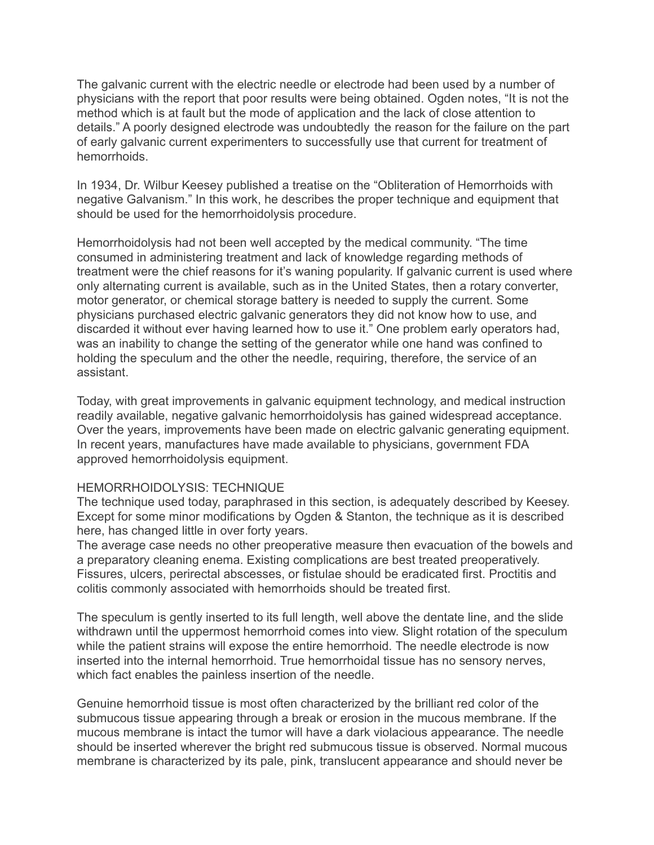The galvanic current with the electric needle or electrode had been used by a number of physicians with the report that poor results were being obtained. Ogden notes, "It is not the method which is at fault but the mode of application and the lack of close attention to details." A poorly designed electrode was undoubtedly the reason for the failure on the part of early galvanic current experimenters to successfully use that current for treatment of hemorrhoids.

In 1934, Dr. Wilbur Keesey published a treatise on the "Obliteration of Hemorrhoids with negative Galvanism." In this work, he describes the proper technique and equipment that should be used for the hemorrhoidolysis procedure.

Hemorrhoidolysis had not been well accepted by the medical community. "The time consumed in administering treatment and lack of knowledge regarding methods of treatment were the chief reasons for it's waning popularity. If galvanic current is used where only alternating current is available, such as in the United States, then a rotary converter, motor generator, or chemical storage battery is needed to supply the current. Some physicians purchased electric galvanic generators they did not know how to use, and discarded it without ever having learned how to use it." One problem early operators had, was an inability to change the setting of the generator while one hand was confined to holding the speculum and the other the needle, requiring, therefore, the service of an assistant.

Today, with great improvements in galvanic equipment technology, and medical instruction readily available, negative galvanic hemorrhoidolysis has gained widespread acceptance. Over the years, improvements have been made on electric galvanic generating equipment. In recent years, manufactures have made available to physicians, government FDA approved hemorrhoidolysis equipment.

#### HEMORRHOIDOLYSIS: TECHNIQUE

The technique used today, paraphrased in this section, is adequately described by Keesey. Except for some minor modifications by Ogden & Stanton, the technique as it is described here, has changed little in over forty years.

The average case needs no other preoperative measure then evacuation of the bowels and a preparatory cleaning enema. Existing complications are best treated preoperatively. Fissures, ulcers, perirectal abscesses, or fistulae should be eradicated first. Proctitis and colitis commonly associated with hemorrhoids should be treated first.

The speculum is gently inserted to its full length, well above the dentate line, and the slide withdrawn until the uppermost hemorrhoid comes into view. Slight rotation of the speculum while the patient strains will expose the entire hemorrhoid. The needle electrode is now inserted into the internal hemorrhoid. True hemorrhoidal tissue has no sensory nerves, which fact enables the painless insertion of the needle.

Genuine hemorrhoid tissue is most often characterized by the brilliant red color of the submucous tissue appearing through a break or erosion in the mucous membrane. If the mucous membrane is intact the tumor will have a dark violacious appearance. The needle should be inserted wherever the bright red submucous tissue is observed. Normal mucous membrane is characterized by its pale, pink, translucent appearance and should never be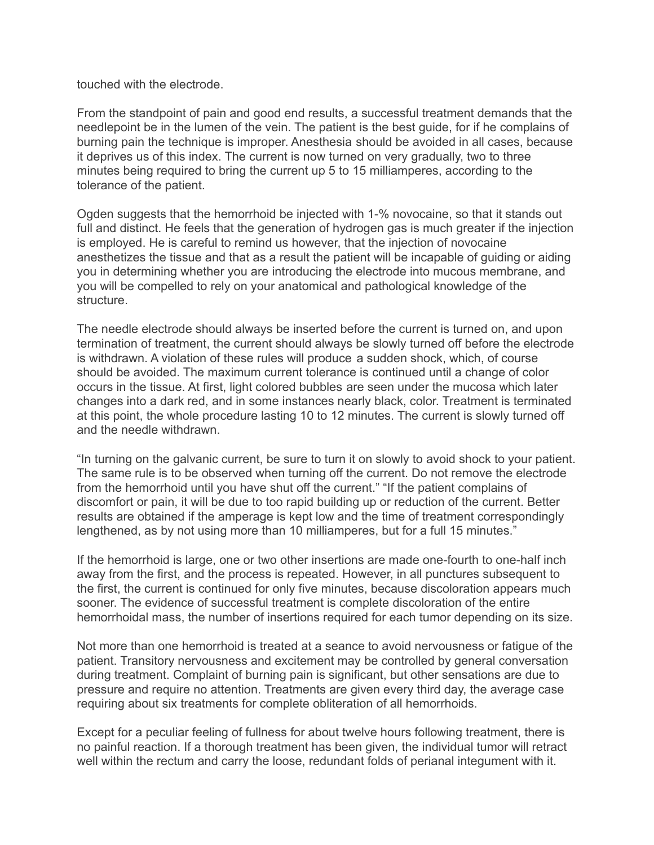touched with the electrode.

From the standpoint of pain and good end results, a successful treatment demands that the needlepoint be in the lumen of the vein. The patient is the best guide, for if he complains of burning pain the technique is improper. Anesthesia should be avoided in all cases, because it deprives us of this index. The current is now turned on very gradually, two to three minutes being required to bring the current up 5 to 15 milliamperes, according to the tolerance of the patient.

Ogden suggests that the hemorrhoid be injected with 1-% novocaine, so that it stands out full and distinct. He feels that the generation of hydrogen gas is much greater if the injection is employed. He is careful to remind us however, that the injection of novocaine anesthetizes the tissue and that as a result the patient will be incapable of guiding or aiding you in determining whether you are introducing the electrode into mucous membrane, and you will be compelled to rely on your anatomical and pathological knowledge of the structure.

The needle electrode should always be inserted before the current is turned on, and upon termination of treatment, the current should always be slowly turned off before the electrode is withdrawn. A violation of these rules will produce a sudden shock, which, of course should be avoided. The maximum current tolerance is continued until a change of color occurs in the tissue. At first, light colored bubbles are seen under the mucosa which later changes into a dark red, and in some instances nearly black, color. Treatment is terminated at this point, the whole procedure lasting 10 to 12 minutes. The current is slowly turned off and the needle withdrawn.

"In turning on the galvanic current, be sure to turn it on slowly to avoid shock to your patient. The same rule is to be observed when turning off the current. Do not remove the electrode from the hemorrhoid until you have shut off the current." "If the patient complains of discomfort or pain, it will be due to too rapid building up or reduction of the current. Better results are obtained if the amperage is kept low and the time of treatment correspondingly lengthened, as by not using more than 10 milliamperes, but for a full 15 minutes."

If the hemorrhoid is large, one or two other insertions are made one-fourth to one-half inch away from the first, and the process is repeated. However, in all punctures subsequent to the first, the current is continued for only five minutes, because discoloration appears much sooner. The evidence of successful treatment is complete discoloration of the entire hemorrhoidal mass, the number of insertions required for each tumor depending on its size.

Not more than one hemorrhoid is treated at a seance to avoid nervousness or fatigue of the patient. Transitory nervousness and excitement may be controlled by general conversation during treatment. Complaint of burning pain is significant, but other sensations are due to pressure and require no attention. Treatments are given every third day, the average case requiring about six treatments for complete obliteration of all hemorrhoids.

Except for a peculiar feeling of fullness for about twelve hours following treatment, there is no painful reaction. If a thorough treatment has been given, the individual tumor will retract well within the rectum and carry the loose, redundant folds of perianal integument with it.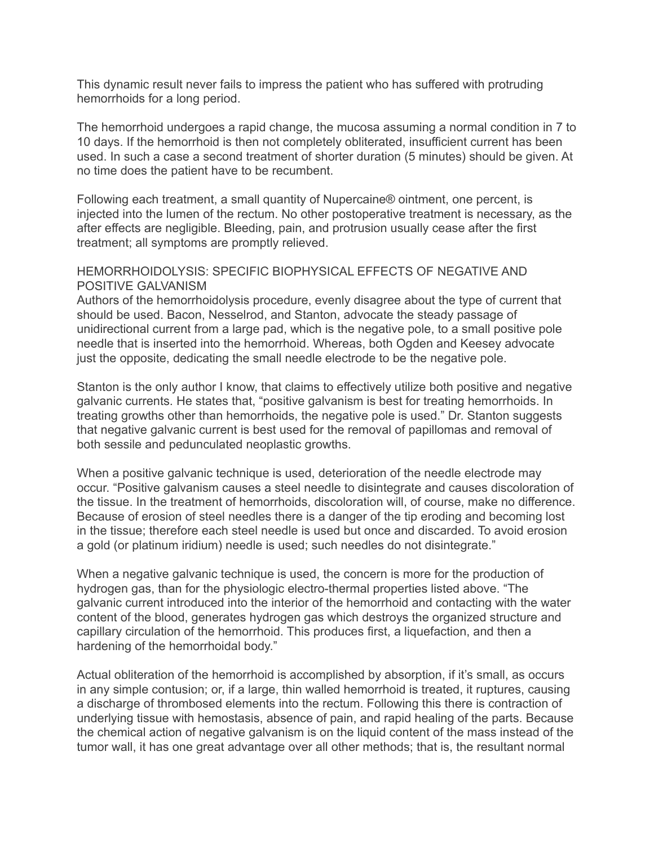This dynamic result never fails to impress the patient who has suffered with protruding hemorrhoids for a long period.

The hemorrhoid undergoes a rapid change, the mucosa assuming a normal condition in 7 to 10 days. If the hemorrhoid is then not completely obliterated, insufficient current has been used. In such a case a second treatment of shorter duration (5 minutes) should be given. At no time does the patient have to be recumbent.

Following each treatment, a small quantity of Nupercaine® ointment, one percent, is injected into the lumen of the rectum. No other postoperative treatment is necessary, as the after effects are negligible. Bleeding, pain, and protrusion usually cease after the first treatment; all symptoms are promptly relieved.

### HEMORRHOIDOLYSIS: SPECIFIC BIOPHYSICAL EFFECTS OF NEGATIVE AND POSITIVE GALVANISM

Authors of the hemorrhoidolysis procedure, evenly disagree about the type of current that should be used. Bacon, Nesselrod, and Stanton, advocate the steady passage of unidirectional current from a large pad, which is the negative pole, to a small positive pole needle that is inserted into the hemorrhoid. Whereas, both Ogden and Keesey advocate just the opposite, dedicating the small needle electrode to be the negative pole.

Stanton is the only author I know, that claims to effectively utilize both positive and negative galvanic currents. He states that, "positive galvanism is best for treating hemorrhoids. In treating growths other than hemorrhoids, the negative pole is used." Dr. Stanton suggests that negative galvanic current is best used for the removal of papillomas and removal of both sessile and pedunculated neoplastic growths.

When a positive galvanic technique is used, deterioration of the needle electrode may occur. "Positive galvanism causes a steel needle to disintegrate and causes discoloration of the tissue. In the treatment of hemorrhoids, discoloration will, of course, make no difference. Because of erosion of steel needles there is a danger of the tip eroding and becoming lost in the tissue; therefore each steel needle is used but once and discarded. To avoid erosion a gold (or platinum iridium) needle is used; such needles do not disintegrate."

When a negative galvanic technique is used, the concern is more for the production of hydrogen gas, than for the physiologic electro-thermal properties listed above. "The galvanic current introduced into the interior of the hemorrhoid and contacting with the water content of the blood, generates hydrogen gas which destroys the organized structure and capillary circulation of the hemorrhoid. This produces first, a liquefaction, and then a hardening of the hemorrhoidal body."

Actual obliteration of the hemorrhoid is accomplished by absorption, if it's small, as occurs in any simple contusion; or, if a large, thin walled hemorrhoid is treated, it ruptures, causing a discharge of thrombosed elements into the rectum. Following this there is contraction of underlying tissue with hemostasis, absence of pain, and rapid healing of the parts. Because the chemical action of negative galvanism is on the liquid content of the mass instead of the tumor wall, it has one great advantage over all other methods; that is, the resultant normal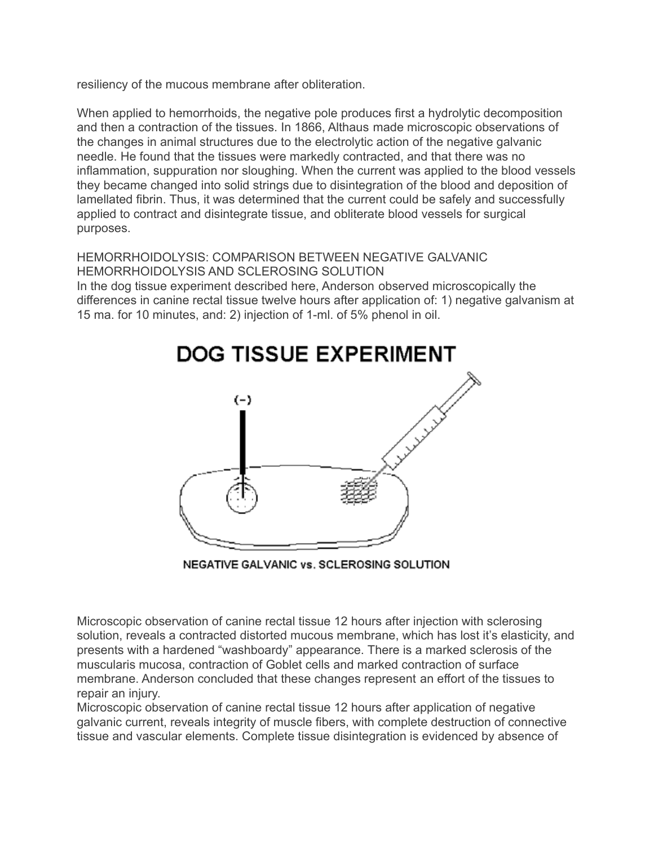resiliency of the mucous membrane after obliteration.

When applied to hemorrhoids, the negative pole produces first a hydrolytic decomposition and then a contraction of the tissues. In 1866, Althaus made microscopic observations of the changes in animal structures due to the electrolytic action of the negative galvanic needle. He found that the tissues were markedly contracted, and that there was no inflammation, suppuration nor sloughing. When the current was applied to the blood vessels they became changed into solid strings due to disintegration of the blood and deposition of lamellated fibrin. Thus, it was determined that the current could be safely and successfully applied to contract and disintegrate tissue, and obliterate blood vessels for surgical purposes.

# HEMORRHOIDOLYSIS: COMPARISON BETWEEN NEGATIVE GALVANIC HEMORRHOIDOLYSIS AND SCLEROSING SOLUTION

In the dog tissue experiment described here, Anderson observed microscopically the differences in canine rectal tissue twelve hours after application of: 1) negative galvanism at 15 ma. for 10 minutes, and: 2) injection of 1-ml. of 5% phenol in oil.



NEGATIVE GALVANIC vs. SCLEROSING SOLUTION

Microscopic observation of canine rectal tissue 12 hours after injection with sclerosing solution, reveals a contracted distorted mucous membrane, which has lost it's elasticity, and presents with a hardened "washboardy" appearance. There is a marked sclerosis of the muscularis mucosa, contraction of Goblet cells and marked contraction of surface membrane. Anderson concluded that these changes represent an effort of the tissues to repair an injury.

Microscopic observation of canine rectal tissue 12 hours after application of negative galvanic current, reveals integrity of muscle fibers, with complete destruction of connective tissue and vascular elements. Complete tissue disintegration is evidenced by absence of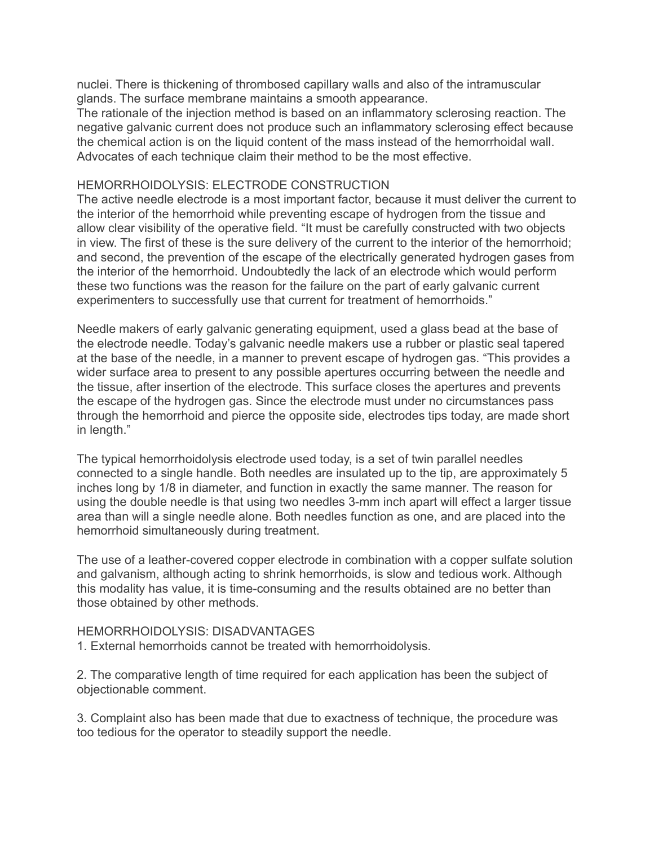nuclei. There is thickening of thrombosed capillary walls and also of the intramuscular glands. The surface membrane maintains a smooth appearance.

The rationale of the injection method is based on an inflammatory sclerosing reaction. The negative galvanic current does not produce such an inflammatory sclerosing effect because the chemical action is on the liquid content of the mass instead of the hemorrhoidal wall. Advocates of each technique claim their method to be the most effective.

#### HEMORRHOIDOLYSIS: ELECTRODE CONSTRUCTION

The active needle electrode is a most important factor, because it must deliver the current to the interior of the hemorrhoid while preventing escape of hydrogen from the tissue and allow clear visibility of the operative field. "It must be carefully constructed with two objects in view. The first of these is the sure delivery of the current to the interior of the hemorrhoid; and second, the prevention of the escape of the electrically generated hydrogen gases from the interior of the hemorrhoid. Undoubtedly the lack of an electrode which would perform these two functions was the reason for the failure on the part of early galvanic current experimenters to successfully use that current for treatment of hemorrhoids."

Needle makers of early galvanic generating equipment, used a glass bead at the base of the electrode needle. Today's galvanic needle makers use a rubber or plastic seal tapered at the base of the needle, in a manner to prevent escape of hydrogen gas. "This provides a wider surface area to present to any possible apertures occurring between the needle and the tissue, after insertion of the electrode. This surface closes the apertures and prevents the escape of the hydrogen gas. Since the electrode must under no circumstances pass through the hemorrhoid and pierce the opposite side, electrodes tips today, are made short in length."

The typical hemorrhoidolysis electrode used today, is a set of twin parallel needles connected to a single handle. Both needles are insulated up to the tip, are approximately 5 inches long by 1/8 in diameter, and function in exactly the same manner. The reason for using the double needle is that using two needles 3-mm inch apart will effect a larger tissue area than will a single needle alone. Both needles function as one, and are placed into the hemorrhoid simultaneously during treatment.

The use of a leather-covered copper electrode in combination with a copper sulfate solution and galvanism, although acting to shrink hemorrhoids, is slow and tedious work. Although this modality has value, it is time-consuming and the results obtained are no better than those obtained by other methods.

#### HEMORRHOIDOLYSIS: DISADVANTAGES

1. External hemorrhoids cannot be treated with hemorrhoidolysis.

2. The comparative length of time required for each application has been the subject of objectionable comment.

3. Complaint also has been made that due to exactness of technique, the procedure was too tedious for the operator to steadily support the needle.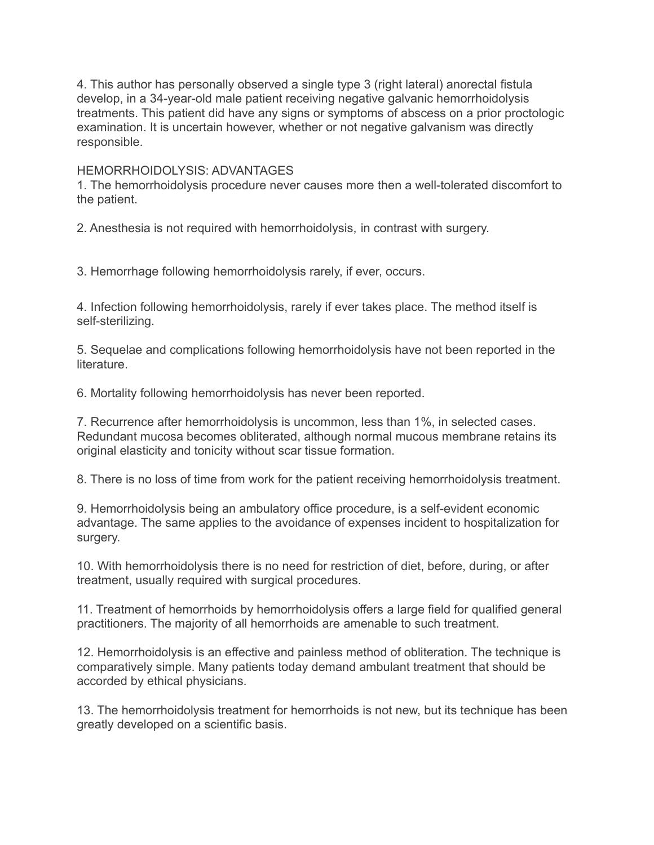4. This author has personally observed a single type 3 (right lateral) anorectal fistula develop, in a 34-year-old male patient receiving negative galvanic hemorrhoidolysis treatments. This patient did have any signs or symptoms of abscess on a prior proctologic examination. It is uncertain however, whether or not negative galvanism was directly responsible.

#### HEMORRHOIDOLYSIS: ADVANTAGES

1. The hemorrhoidolysis procedure never causes more then a well-tolerated discomfort to the patient.

2. Anesthesia is not required with hemorrhoidolysis, in contrast with surgery.

3. Hemorrhage following hemorrhoidolysis rarely, if ever, occurs.

4. Infection following hemorrhoidolysis, rarely if ever takes place. The method itself is self-sterilizing.

5. Sequelae and complications following hemorrhoidolysis have not been reported in the literature.

6. Mortality following hemorrhoidolysis has never been reported.

7. Recurrence after hemorrhoidolysis is uncommon, less than 1%, in selected cases. Redundant mucosa becomes obliterated, although normal mucous membrane retains its original elasticity and tonicity without scar tissue formation.

8. There is no loss of time from work for the patient receiving hemorrhoidolysis treatment.

9. Hemorrhoidolysis being an ambulatory office procedure, is a self-evident economic advantage. The same applies to the avoidance of expenses incident to hospitalization for surgery.

10. With hemorrhoidolysis there is no need for restriction of diet, before, during, or after treatment, usually required with surgical procedures.

11. Treatment of hemorrhoids by hemorrhoidolysis offers a large field for qualified general practitioners. The majority of all hemorrhoids are amenable to such treatment.

12. Hemorrhoidolysis is an effective and painless method of obliteration. The technique is comparatively simple. Many patients today demand ambulant treatment that should be accorded by ethical physicians.

13. The hemorrhoidolysis treatment for hemorrhoids is not new, but its technique has been greatly developed on a scientific basis.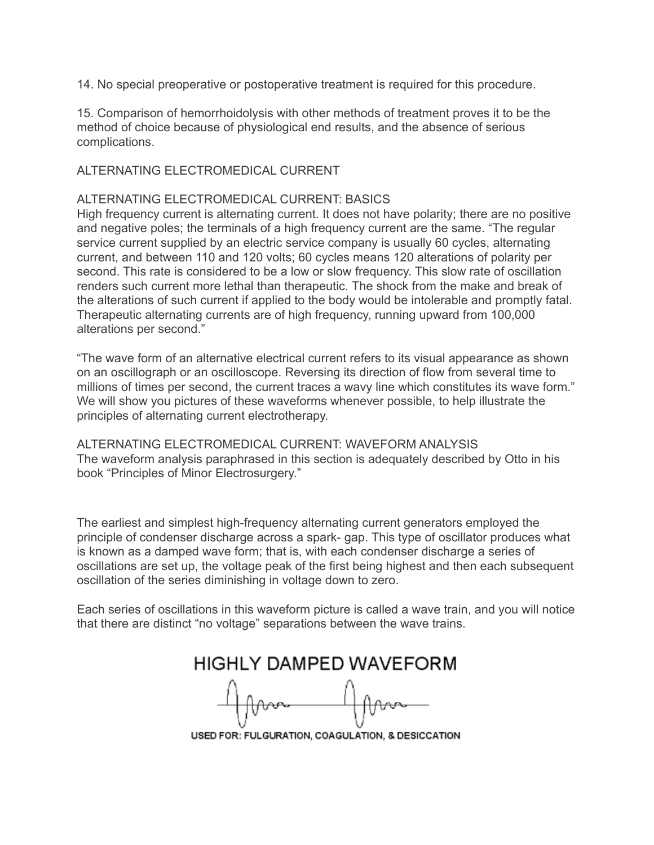14. No special preoperative or postoperative treatment is required for this procedure.

15. Comparison of hemorrhoidolysis with other methods of treatment proves it to be the method of choice because of physiological end results, and the absence of serious complications.

### ALTERNATING ELECTROMEDICAL CURRENT

### ALTERNATING ELECTROMEDICAL CURRENT: BASICS

High frequency current is alternating current. It does not have polarity; there are no positive and negative poles; the terminals of a high frequency current are the same. "The regular service current supplied by an electric service company is usually 60 cycles, alternating current, and between 110 and 120 volts; 60 cycles means 120 alterations of polarity per second. This rate is considered to be a low or slow frequency. This slow rate of oscillation renders such current more lethal than therapeutic. The shock from the make and break of the alterations of such current if applied to the body would be intolerable and promptly fatal. Therapeutic alternating currents are of high frequency, running upward from 100,000 alterations per second."

"The wave form of an alternative electrical current refers to its visual appearance as shown on an oscillograph or an oscilloscope. Reversing its direction of flow from several time to millions of times per second, the current traces a wavy line which constitutes its wave form." We will show you pictures of these waveforms whenever possible, to help illustrate the principles of alternating current electrotherapy.

ALTERNATING ELECTROMEDICAL CURRENT: WAVEFORM ANALYSIS The waveform analysis paraphrased in this section is adequately described by Otto in his book "Principles of Minor Electrosurgery."

The earliest and simplest high-frequency alternating current generators employed the principle of condenser discharge across a spark- gap. This type of oscillator produces what is known as a damped wave form; that is, with each condenser discharge a series of oscillations are set up, the voltage peak of the first being highest and then each subsequent oscillation of the series diminishing in voltage down to zero.

Each series of oscillations in this waveform picture is called a wave train, and you will notice that there are distinct "no voltage" separations between the wave trains.

**HIGHLY DAMPED WAVEFORM** fbun

USED FOR: FULGURATION, COAGULATION, & DESICCATION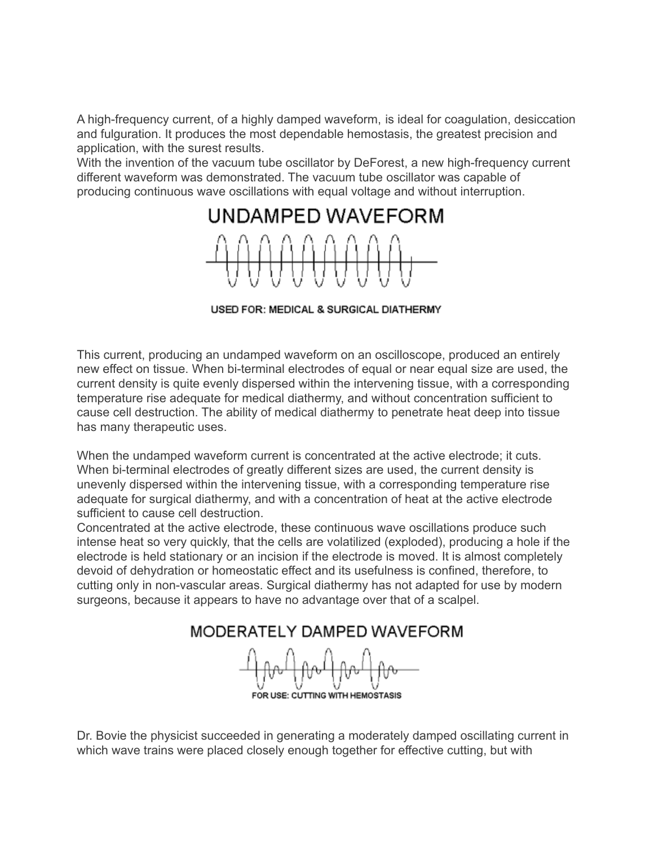A high-frequency current, of a highly damped waveform, is ideal for coagulation, desiccation and fulguration. It produces the most dependable hemostasis, the greatest precision and application, with the surest results.

With the invention of the vacuum tube oscillator by DeForest, a new high-frequency current different waveform was demonstrated. The vacuum tube oscillator was capable of producing continuous wave oscillations with equal voltage and without interruption.



USED FOR: MEDICAL & SURGICAL DIATHERMY

This current, producing an undamped waveform on an oscilloscope, produced an entirely new effect on tissue. When bi-terminal electrodes of equal or near equal size are used, the current density is quite evenly dispersed within the intervening tissue, with a corresponding temperature rise adequate for medical diathermy, and without concentration sufficient to cause cell destruction. The ability of medical diathermy to penetrate heat deep into tissue has many therapeutic uses.

When the undamped waveform current is concentrated at the active electrode; it cuts. When bi-terminal electrodes of greatly different sizes are used, the current density is unevenly dispersed within the intervening tissue, with a corresponding temperature rise adequate for surgical diathermy, and with a concentration of heat at the active electrode sufficient to cause cell destruction.

Concentrated at the active electrode, these continuous wave oscillations produce such intense heat so very quickly, that the cells are volatilized (exploded), producing a hole if the electrode is held stationary or an incision if the electrode is moved. It is almost completely devoid of dehydration or homeostatic effect and its usefulness is confined, therefore, to cutting only in non-vascular areas. Surgical diathermy has not adapted for use by modern surgeons, because it appears to have no advantage over that of a scalpel.

MODERATELY DAMPED WAVEFORM

FOR USE: CUTTING WITH HEMOSTASIS

Dr. Bovie the physicist succeeded in generating a moderately damped oscillating current in which wave trains were placed closely enough together for effective cutting, but with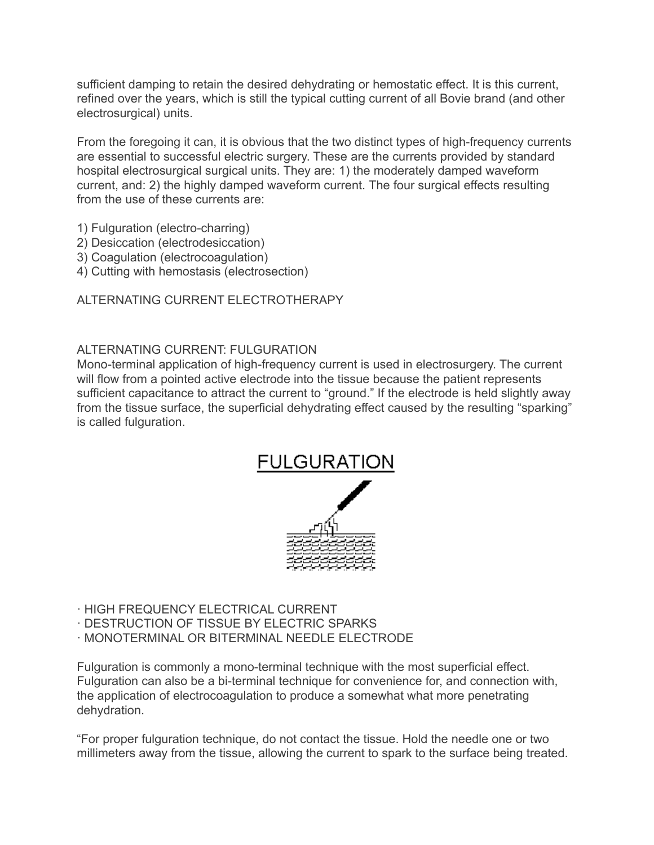sufficient damping to retain the desired dehydrating or hemostatic effect. It is this current, refined over the years, which is still the typical cutting current of all Bovie brand (and other electrosurgical) units.

From the foregoing it can, it is obvious that the two distinct types of high-frequency currents are essential to successful electric surgery. These are the currents provided by standard hospital electrosurgical surgical units. They are: 1) the moderately damped waveform current, and: 2) the highly damped waveform current. The four surgical effects resulting from the use of these currents are:

- 1) Fulguration (electro-charring)
- 2) Desiccation (electrodesiccation)
- 3) Coagulation (electrocoagulation)
- 4) Cutting with hemostasis (electrosection)

# ALTERNATING CURRENT ELECTROTHERAPY

# ALTERNATING CURRENT: FULGURATION

Mono-terminal application of high-frequency current is used in electrosurgery. The current will flow from a pointed active electrode into the tissue because the patient represents sufficient capacitance to attract the current to "ground." If the electrode is held slightly away from the tissue surface, the superficial dehydrating effect caused by the resulting "sparking" is called fulguration.



- · HIGH FREQUENCY ELECTRICAL CURRENT
- · DESTRUCTION OF TISSUE BY ELECTRIC SPARKS
- · MONOTERMINAL OR BITERMINAL NEEDLE ELECTRODE

Fulguration is commonly a mono-terminal technique with the most superficial effect. Fulguration can also be a bi-terminal technique for convenience for, and connection with, the application of electrocoagulation to produce a somewhat what more penetrating dehydration.

"For proper fulguration technique, do not contact the tissue. Hold the needle one or two millimeters away from the tissue, allowing the current to spark to the surface being treated.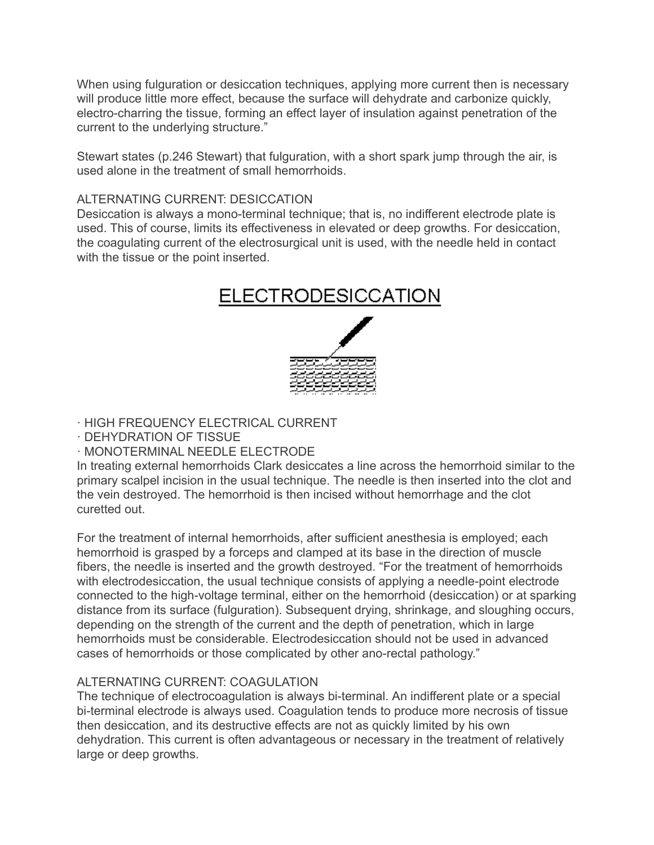When using fulguration or desiccation techniques, applying more current then is necessary will produce little more effect, because the surface will dehydrate and carbonize quickly, electro-charring the tissue, forming an effect layer of insulation against penetration of the current to the underlying structure."

Stewart states (p.246 Stewart) that fulguration, with a short spark jump through the air, is used alone in the treatment of small hemorrhoids.

# ALTERNATING CURRENT: DESICCATION

Desiccation is always a mono-terminal technique; that is, no indifferent electrode plate is used. This of course, limits its effectiveness in elevated or deep growths. For desiccation, the coagulating current of the electrosurgical unit is used, with the needle held in contact with the tissue or the point inserted.



· HIGH FREQUENCY ELECTRICAL CURRENT

· DEHYDRATION OF TISSUE

· MONOTERMINAL NEEDLE ELECTRODE

In treating external hemorrhoids Clark desiccates a line across the hemorrhoid similar to the primary scalpel incision in the usual technique. The needle is then inserted into the clot and the vein destroyed. The hemorrhoid is then incised without hemorrhage and the clot curetted out.

For the treatment of internal hemorrhoids, after sufficient anesthesia is employed; each hemorrhoid is grasped by a forceps and clamped at its base in the direction of muscle fibers, the needle is inserted and the growth destroyed. "For the treatment of hemorrhoids with electrodesiccation, the usual technique consists of applying a needle-point electrode connected to the high-voltage terminal, either on the hemorrhoid (desiccation) or at sparking distance from its surface (fulguration). Subsequent drying, shrinkage, and sloughing occurs, depending on the strength of the current and the depth of penetration, which in large hemorrhoids must be considerable. Electrodesiccation should not be used in advanced cases of hemorrhoids or those complicated by other ano-rectal pathology."

# ALTERNATING CURRENT: COAGULATION

The technique of electrocoagulation is always bi-terminal. An indifferent plate or a special bi-terminal electrode is always used. Coagulation tends to produce more necrosis of tissue then desiccation, and its destructive effects are not as quickly limited by his own dehydration. This current is often advantageous or necessary in the treatment of relatively large or deep growths.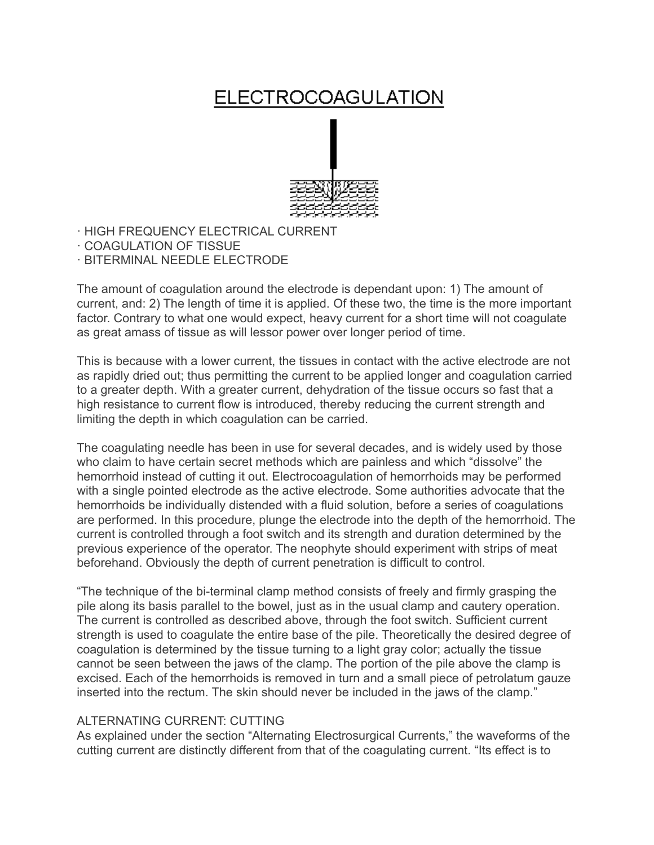# **ELECTROCOAGULATION**



- · HIGH FREQUENCY ELECTRICAL CURRENT
- · COAGULATION OF TISSUE
- · BITERMINAL NEEDLE ELECTRODE

The amount of coagulation around the electrode is dependant upon: 1) The amount of current, and: 2) The length of time it is applied. Of these two, the time is the more important factor. Contrary to what one would expect, heavy current for a short time will not coagulate as great amass of tissue as will lessor power over longer period of time.

This is because with a lower current, the tissues in contact with the active electrode are not as rapidly dried out; thus permitting the current to be applied longer and coagulation carried to a greater depth. With a greater current, dehydration of the tissue occurs so fast that a high resistance to current flow is introduced, thereby reducing the current strength and limiting the depth in which coagulation can be carried.

The coagulating needle has been in use for several decades, and is widely used by those who claim to have certain secret methods which are painless and which "dissolve" the hemorrhoid instead of cutting it out. Electrocoagulation of hemorrhoids may be performed with a single pointed electrode as the active electrode. Some authorities advocate that the hemorrhoids be individually distended with a fluid solution, before a series of coagulations are performed. In this procedure, plunge the electrode into the depth of the hemorrhoid. The current is controlled through a foot switch and its strength and duration determined by the previous experience of the operator. The neophyte should experiment with strips of meat beforehand. Obviously the depth of current penetration is difficult to control.

"The technique of the bi-terminal clamp method consists of freely and firmly grasping the pile along its basis parallel to the bowel, just as in the usual clamp and cautery operation. The current is controlled as described above, through the foot switch. Sufficient current strength is used to coagulate the entire base of the pile. Theoretically the desired degree of coagulation is determined by the tissue turning to a light gray color; actually the tissue cannot be seen between the jaws of the clamp. The portion of the pile above the clamp is excised. Each of the hemorrhoids is removed in turn and a small piece of petrolatum gauze inserted into the rectum. The skin should never be included in the jaws of the clamp."

# ALTERNATING CURRENT: CUTTING

As explained under the section "Alternating Electrosurgical Currents," the waveforms of the cutting current are distinctly different from that of the coagulating current. "Its effect is to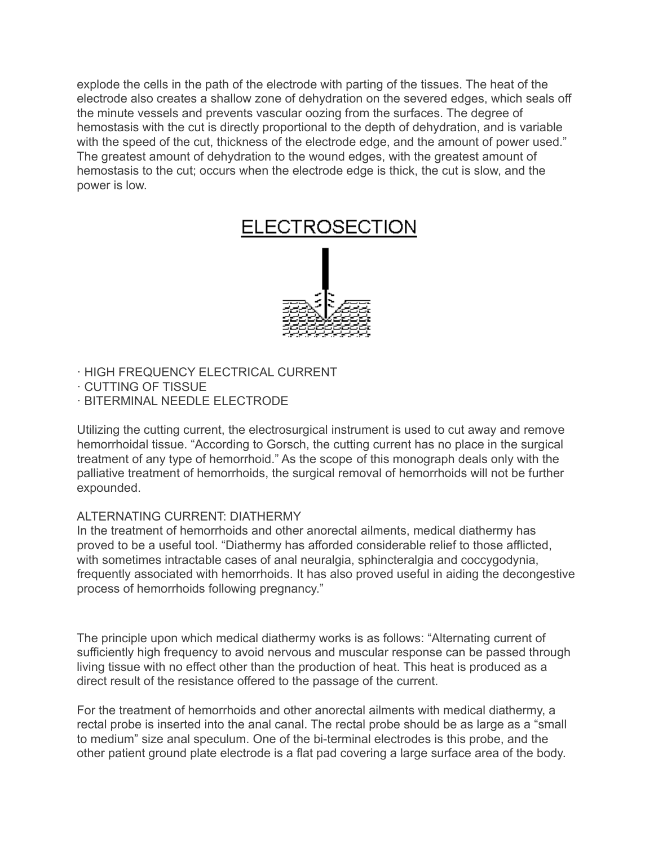explode the cells in the path of the electrode with parting of the tissues. The heat of the electrode also creates a shallow zone of dehydration on the severed edges, which seals off the minute vessels and prevents vascular oozing from the surfaces. The degree of hemostasis with the cut is directly proportional to the depth of dehydration, and is variable with the speed of the cut, thickness of the electrode edge, and the amount of power used." The greatest amount of dehydration to the wound edges, with the greatest amount of hemostasis to the cut; occurs when the electrode edge is thick, the cut is slow, and the power is low.

# **ELECTROSECTION**



- · HIGH FREQUENCY ELECTRICAL CURRENT
- · CUTTING OF TISSUE
- · BITERMINAL NEEDLE ELECTRODE

Utilizing the cutting current, the electrosurgical instrument is used to cut away and remove hemorrhoidal tissue. "According to Gorsch, the cutting current has no place in the surgical treatment of any type of hemorrhoid." As the scope of this monograph deals only with the palliative treatment of hemorrhoids, the surgical removal of hemorrhoids will not be further expounded.

# ALTERNATING CURRENT: DIATHERMY

In the treatment of hemorrhoids and other anorectal ailments, medical diathermy has proved to be a useful tool. "Diathermy has afforded considerable relief to those afflicted, with sometimes intractable cases of anal neuralgia, sphincteralgia and coccygodynia, frequently associated with hemorrhoids. It has also proved useful in aiding the decongestive process of hemorrhoids following pregnancy."

The principle upon which medical diathermy works is as follows: "Alternating current of sufficiently high frequency to avoid nervous and muscular response can be passed through living tissue with no effect other than the production of heat. This heat is produced as a direct result of the resistance offered to the passage of the current.

For the treatment of hemorrhoids and other anorectal ailments with medical diathermy, a rectal probe is inserted into the anal canal. The rectal probe should be as large as a "small to medium" size anal speculum. One of the bi-terminal electrodes is this probe, and the other patient ground plate electrode is a flat pad covering a large surface area of the body.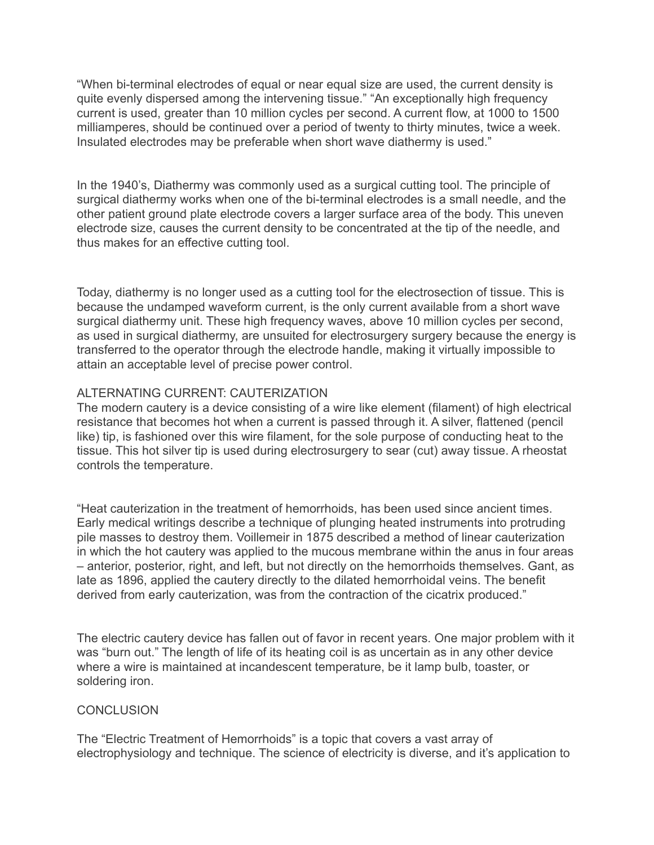"When bi-terminal electrodes of equal or near equal size are used, the current density is quite evenly dispersed among the intervening tissue." "An exceptionally high frequency current is used, greater than 10 million cycles per second. A current flow, at 1000 to 1500 milliamperes, should be continued over a period of twenty to thirty minutes, twice a week. Insulated electrodes may be preferable when short wave diathermy is used."

In the 1940's, Diathermy was commonly used as a surgical cutting tool. The principle of surgical diathermy works when one of the bi-terminal electrodes is a small needle, and the other patient ground plate electrode covers a larger surface area of the body. This uneven electrode size, causes the current density to be concentrated at the tip of the needle, and thus makes for an effective cutting tool.

Today, diathermy is no longer used as a cutting tool for the electrosection of tissue. This is because the undamped waveform current, is the only current available from a short wave surgical diathermy unit. These high frequency waves, above 10 million cycles per second, as used in surgical diathermy, are unsuited for electrosurgery surgery because the energy is transferred to the operator through the electrode handle, making it virtually impossible to attain an acceptable level of precise power control.

# ALTERNATING CURRENT: CAUTERIZATION

The modern cautery is a device consisting of a wire like element (filament) of high electrical resistance that becomes hot when a current is passed through it. A silver, flattened (pencil like) tip, is fashioned over this wire filament, for the sole purpose of conducting heat to the tissue. This hot silver tip is used during electrosurgery to sear (cut) away tissue. A rheostat controls the temperature.

"Heat cauterization in the treatment of hemorrhoids, has been used since ancient times. Early medical writings describe a technique of plunging heated instruments into protruding pile masses to destroy them. Voillemeir in 1875 described a method of linear cauterization in which the hot cautery was applied to the mucous membrane within the anus in four areas – anterior, posterior, right, and left, but not directly on the hemorrhoids themselves. Gant, as late as 1896, applied the cautery directly to the dilated hemorrhoidal veins. The benefit derived from early cauterization, was from the contraction of the cicatrix produced."

The electric cautery device has fallen out of favor in recent years. One major problem with it was "burn out." The length of life of its heating coil is as uncertain as in any other device where a wire is maintained at incandescent temperature, be it lamp bulb, toaster, or soldering iron.

#### **CONCLUSION**

The "Electric Treatment of Hemorrhoids" is a topic that covers a vast array of electrophysiology and technique. The science of electricity is diverse, and it's application to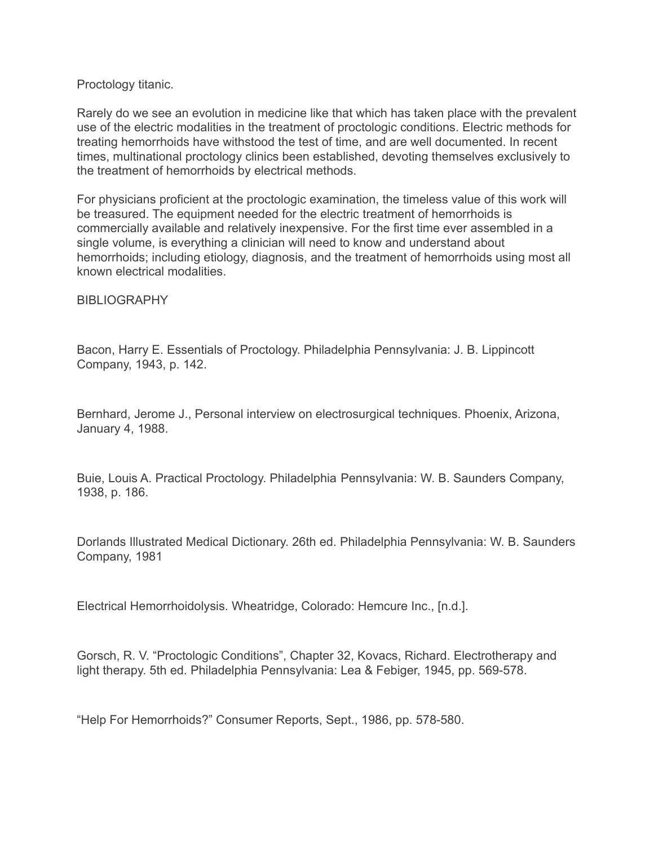#### Proctology titanic.

Rarely do we see an evolution in medicine like that which has taken place with the prevalent use of the electric modalities in the treatment of proctologic conditions. Electric methods for treating hemorrhoids have withstood the test of time, and are well documented. In recent times, multinational proctology clinics been established, devoting themselves exclusively to the treatment of hemorrhoids by electrical methods.

For physicians proficient at the proctologic examination, the timeless value of this work will be treasured. The equipment needed for the electric treatment of hemorrhoids is commercially available and relatively inexpensive. For the first time ever assembled in a single volume, is everything a clinician will need to know and understand about hemorrhoids; including etiology, diagnosis, and the treatment of hemorrhoids using most all known electrical modalities.

#### **BIBLIOGRAPHY**

Bacon, Harry E. Essentials of Proctology. Philadelphia Pennsylvania: J. B. Lippincott Company, 1943, p. 142.

Bernhard, Jerome J., Personal interview on electrosurgical techniques. Phoenix, Arizona, January 4, 1988.

Buie, Louis A. Practical Proctology. Philadelphia Pennsylvania: W. B. Saunders Company, 1938, p. 186.

Dorlands Illustrated Medical Dictionary. 26th ed. Philadelphia Pennsylvania: W. B. Saunders Company, 1981

Electrical Hemorrhoidolysis. Wheatridge, Colorado: Hemcure Inc., [n.d.].

Gorsch, R. V. "Proctologic Conditions", Chapter 32, Kovacs, Richard. Electrotherapy and light therapy. 5th ed. Philadelphia Pennsylvania: Lea & Febiger, 1945, pp. 569-578.

"Help For Hemorrhoids?" Consumer Reports, Sept., 1986, pp. 578-580.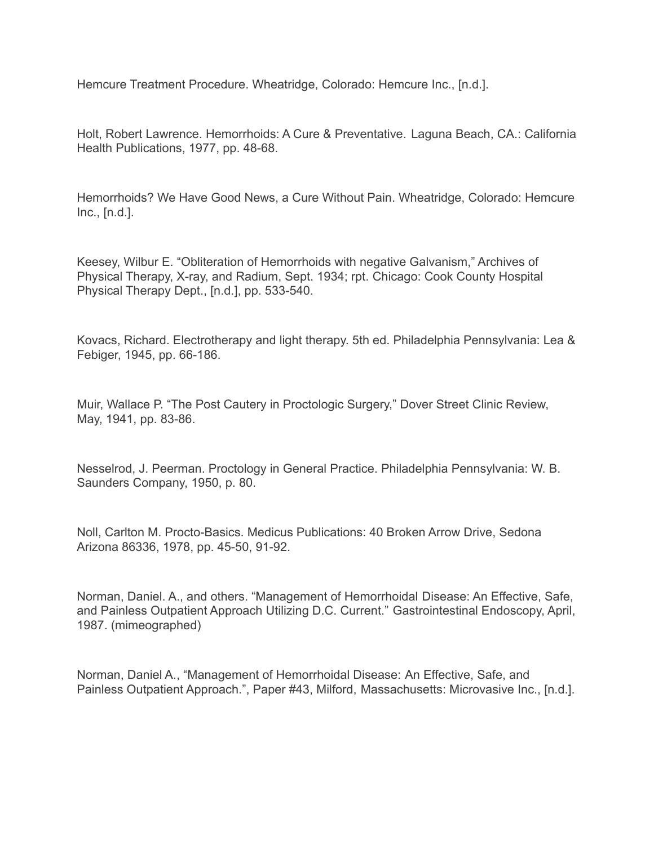Hemcure Treatment Procedure. Wheatridge, Colorado: Hemcure Inc., [n.d.].

Holt, Robert Lawrence. Hemorrhoids: A Cure & Preventative. Laguna Beach, CA.: California Health Publications, 1977, pp. 48-68.

Hemorrhoids? We Have Good News, a Cure Without Pain. Wheatridge, Colorado: Hemcure Inc., [n.d.].

Keesey, Wilbur E. "Obliteration of Hemorrhoids with negative Galvanism," Archives of Physical Therapy, X-ray, and Radium, Sept. 1934; rpt. Chicago: Cook County Hospital Physical Therapy Dept., [n.d.], pp. 533-540.

Kovacs, Richard. Electrotherapy and light therapy. 5th ed. Philadelphia Pennsylvania: Lea & Febiger, 1945, pp. 66-186.

Muir, Wallace P. "The Post Cautery in Proctologic Surgery," Dover Street Clinic Review, May, 1941, pp. 83-86.

Nesselrod, J. Peerman. Proctology in General Practice. Philadelphia Pennsylvania: W. B. Saunders Company, 1950, p. 80.

Noll, Carlton M. Procto-Basics. Medicus Publications: 40 Broken Arrow Drive, Sedona Arizona 86336, 1978, pp. 45-50, 91-92.

Norman, Daniel. A., and others. "Management of Hemorrhoidal Disease: An Effective, Safe, and Painless Outpatient Approach Utilizing D.C. Current." Gastrointestinal Endoscopy, April, 1987. (mimeographed)

Norman, Daniel A., "Management of Hemorrhoidal Disease: An Effective, Safe, and Painless Outpatient Approach.", Paper #43, Milford, Massachusetts: Microvasive Inc., [n.d.].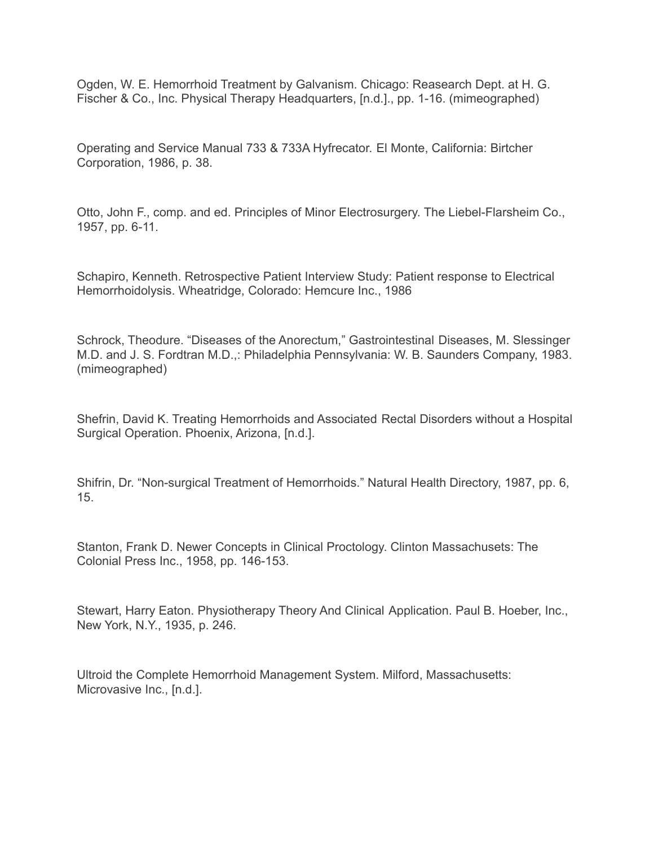Ogden, W. E. Hemorrhoid Treatment by Galvanism. Chicago: Reasearch Dept. at H. G. Fischer & Co., Inc. Physical Therapy Headquarters, [n.d.]., pp. 1-16. (mimeographed)

Operating and Service Manual 733 & 733A Hyfrecator. El Monte, California: Birtcher Corporation, 1986, p. 38.

Otto, John F., comp. and ed. Principles of Minor Electrosurgery. The Liebel-Flarsheim Co., 1957, pp. 6-11.

Schapiro, Kenneth. Retrospective Patient Interview Study: Patient response to Electrical Hemorrhoidolysis. Wheatridge, Colorado: Hemcure Inc., 1986

Schrock, Theodure. "Diseases of the Anorectum," Gastrointestinal Diseases, M. Slessinger M.D. and J. S. Fordtran M.D.,: Philadelphia Pennsylvania: W. B. Saunders Company, 1983. (mimeographed)

Shefrin, David K. Treating Hemorrhoids and Associated Rectal Disorders without a Hospital Surgical Operation. Phoenix, Arizona, [n.d.].

Shifrin, Dr. "Non-surgical Treatment of Hemorrhoids." Natural Health Directory, 1987, pp. 6, 15.

Stanton, Frank D. Newer Concepts in Clinical Proctology. Clinton Massachusets: The Colonial Press Inc., 1958, pp. 146-153.

Stewart, Harry Eaton. Physiotherapy Theory And Clinical Application. Paul B. Hoeber, Inc., New York, N.Y., 1935, p. 246.

Ultroid the Complete Hemorrhoid Management System. Milford, Massachusetts: Microvasive Inc., [n.d.].